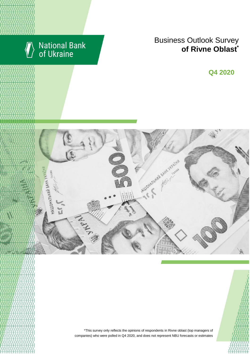

# National Bank<br>of Ukraine

## **Business Outlook Survey conterprise of Rivne Oblast**

**Q2 2018 Q4 2020**



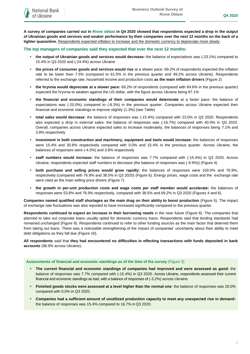**A survey of companies carried out in Rivne oblast in Q4 2020 showed that respondents expected a drop in the output of Ukrainian goods and services and weaker performance by their companies over the next 12 months on the back of a tighter quarantine.** Respondents expected inflation to increase and the domestic currency to depreciate more slowly.

### **The top managers of companies said they expected that over the next 12 months:**

**National Bank** of Ukraine

- **the output of Ukrainian goods and services would decrease:** the balance of expectations was (-23.1%) compared to 15.4% in Q3 2020 and (-24.4%) across Ukraine
- **the prices of consumer goods and services would rise** at a slower pace: 69.2% of respondents expected the inflation rate to be lower than 7.5% (compared to 61.5% in the previous quarter and 49.2% across Ukraine). Respondents referred to the exchange rate, household income and production costs **as the main inflation drivers** (Figure 2)
- **the hryvnia would depreciate at a slower pace:** 69.2% of respondents (compared with 84.6% in the previous quarter) expected the hryvnia to weaken against the US dollar, with the figure across Ukraine being 87.1%
- **the financial and economic standings of their companies would deteriorate** at a faster pace: the balance of expectations was (-20.0%) compared to (-8.3%) in the previous quarter. Companies across Ukraine expected their financial and economic standings to improve slightly (1.3%) (see Table)
- **total sales would decrease**: the balance of responses was (-15.4%) compared with 23.0% in Q3 2020. Respondents also expected a drop in external sales: the balance of responses was (-16.7%) compared with 40.0% in Q3 2020. Overall, companies across Ukraine expected sales to increase moderately, the balances of responses being 7.1% and 3.8% respectively
- **investment in both construction and machinery, equipment and tools would increase:** the balances of responses were 15.4% and 30.8% respectively compared with 0.0% and 15.4% in the previous quarter. Across Ukraine, the balances of responses were (-4.5%) and 3.8% respectively
- **staff numbers would increase:** the balance of responses was 7.7% compared with (-15.4%) in Q3 2020. Across Ukraine, respondents expected staff numbers to decrease (the balance of responses was (-9.9%)) (Figure 4)
- **both purchase and selling prices would grow rapidly:** the balances of responses were 100.0% and 76.9%, respectively (compared with 76.9% and 38.5% in Q3 2020) (Figure 6). Energy prices, wage costs and the exchange rate were cited as the main selling price drivers (Figure 7)
- **the growth in per-unit production costs and wage costs per staff member would accelerate:** the balances of responses were 53.8% and 76.9% respectively, compared with 38.5% and 69.2% in Q3 2020 (Figures 4 and 6).

**Companies named qualified staff shortages as the main drag on their ability to boost production** (Figure 5). The impact of exchange rate fluctuations was also reported to have increased significantly compared to the previous quarter.

**Respondents continued to expect an increase in their borrowing needs** in the near future (Figure 8). The companies that planned to take out corporate loans usually opted for domestic currency loans. Respondents said that lending standards had remained unchanged (Figure 9). Respondents continued to refer to other funding sources as the main factor that deterred them from taking out loans. There was a noticeable strengthening of the impact of companies' uncertainty about their ability to meet debt obligations as they fall due (Figure 10).

**All respondents** said that **they had encountered no difficulties in effecting transactions with funds deposited in bank accounts** (96.9% across Ukraine).

### **Assessments of financial and economic standings as of the time of the survey** (Figure 3)

- **The current financial and economic standings of companies had improved and were assessed as good:** the balance of responses was 7.7% compared with (-15.4%) in Q3 2020. Across Ukraine, respondents assessed their current financial and economic standings as bad, with a balance of responses of (-3.2%) across Ukraine.
- **Finished goods stocks were assessed at a level higher than the normal one**: the balance of responses was 20.0% compared with 0.0% in Q3 2020.
- **Companies had a sufficient amount of unutilized production capacity to meet any unexpected rise in demand:**  the balance of responses was 15.4% compared to 16.7% in Q3 2020.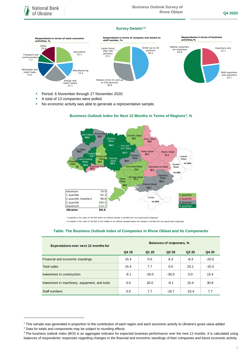### **Survey Details1,2**



- Period: 6 November through 27 November 2020.
- A total of 13 companies were polled.
- No economic activity was able to generate a representative sample.



### **Business Outlook Index for Next 12 Months in Terms of Regions<sup>3</sup>, %**

 \*a quartile is the v alue of the BOI where an ordered sample is div ided into f our equal-sized subgroups \*\*a median is the v alue of the BOI in the middle of an ordered sampled where the sample is divided into two equal-sized subgroups

### **Table. The Business Outlook Index of Companies in Rivne Oblast and Its Components**

| <b>Expectations over next 12 months for</b>   | Balances of responses, % |         |                               |         |         |
|-----------------------------------------------|--------------------------|---------|-------------------------------|---------|---------|
|                                               | Q4 19                    | Q1 20   | Q <sub>2</sub> 2 <sub>0</sub> | Q3 20   | Q4 20   |
| Financial and economic standings              | 15.4                     | 0.0     | 8.3                           | $-8.3$  | $-20.0$ |
| <b>Total sales</b>                            | 15.4                     | 7.7     | 0.0                           | 23.1    | $-15.4$ |
| Investment in construction                    | $-9.1$                   | $-20.0$ | $-30.0$                       | 0.0     | 15.4    |
| Investment in machinery, equipment, and tools | 0.0                      | 20.0    | $-9.1$                        | 15.4    | 30.8    |
| Staff numbers                                 | 0.0                      | 7.7     | $-16.7$                       | $-15.4$ | 7.7     |

-

<sup>&</sup>lt;sup>1</sup> This sample was generated in proportion to the contribution of each region and each economic activity to Ukraine's gross value added.

<sup>&</sup>lt;sup>2</sup> Data for totals and components may be subject to rounding effects.

<sup>&</sup>lt;sup>3</sup> The business outlook index (BOI) is an aggregate indicator for expected business performance over the next 12 months. It is calculated using balances of respondents' responses regarding changes in the financial and economic standings of their companies and future economic activity.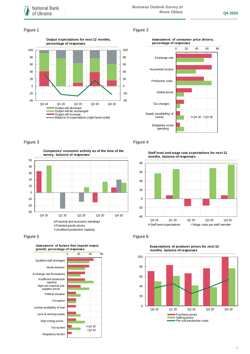### Figure 1 Figure 2







-20 -10 0 10 20 30 40 50 **Companies' economic activity as of the time of the survey, balance of responses**



### Figure 5 **Figure 6**

-30



### Figure 3 Figure 4

**Staff level and wage cost expectations for next 12 months, balance of responses**





### **Expectations of producer prices for next 12 months, balance of responses**